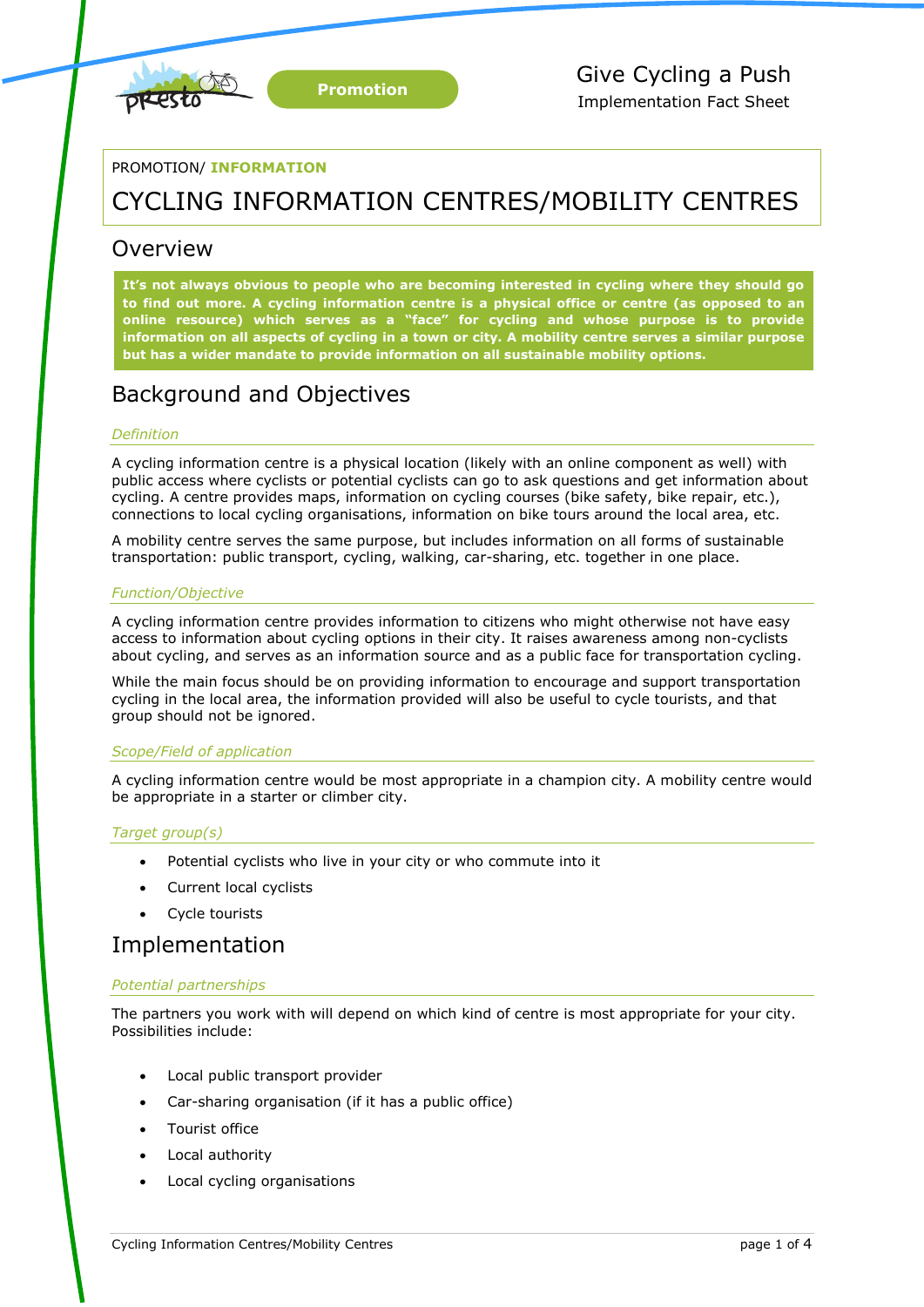

PROMOTION/ **INFORMATION**

# CYCLING INFORMATION CENTRES/MOBILITY CENTRES

### Overview

**It's not always obvious to people who are becoming interested in cycling where they should go to find out more. A cycling information centre is a physical office or centre (as opposed to an online resource) which serves as a "face" for cycling and whose purpose is to provide information on all aspects of cycling in a town or city. A mobility centre serves a similar purpose but has a wider mandate to provide information on all sustainable mobility options.**

## Background and Objectives

### *Definition*

A cycling information centre is a physical location (likely with an online component as well) with public access where cyclists or potential cyclists can go to ask questions and get information about cycling. A centre provides maps, information on cycling courses (bike safety, bike repair, etc.), connections to local cycling organisations, information on bike tours around the local area, etc.

A mobility centre serves the same purpose, but includes information on all forms of sustainable transportation: public transport, cycling, walking, car-sharing, etc. together in one place.

### *Function/Objective*

A cycling information centre provides information to citizens who might otherwise not have easy access to information about cycling options in their city. It raises awareness among non-cyclists about cycling, and serves as an information source and as a public face for transportation cycling.

While the main focus should be on providing information to encourage and support transportation cycling in the local area, the information provided will also be useful to cycle tourists, and that group should not be ignored.

### *Scope/Field of application*

A cycling information centre would be most appropriate in a champion city. A mobility centre would be appropriate in a starter or climber city.

### *Target group(s)*

- Potential cyclists who live in your city or who commute into it
- Current local cyclists
- Cycle tourists

### Implementation

### *Potential partnerships*

The partners you work with will depend on which kind of centre is most appropriate for your city. Possibilities include:

- Local public transport provider
- Car-sharing organisation (if it has a public office)
- Tourist office
- Local authority
- Local cycling organisations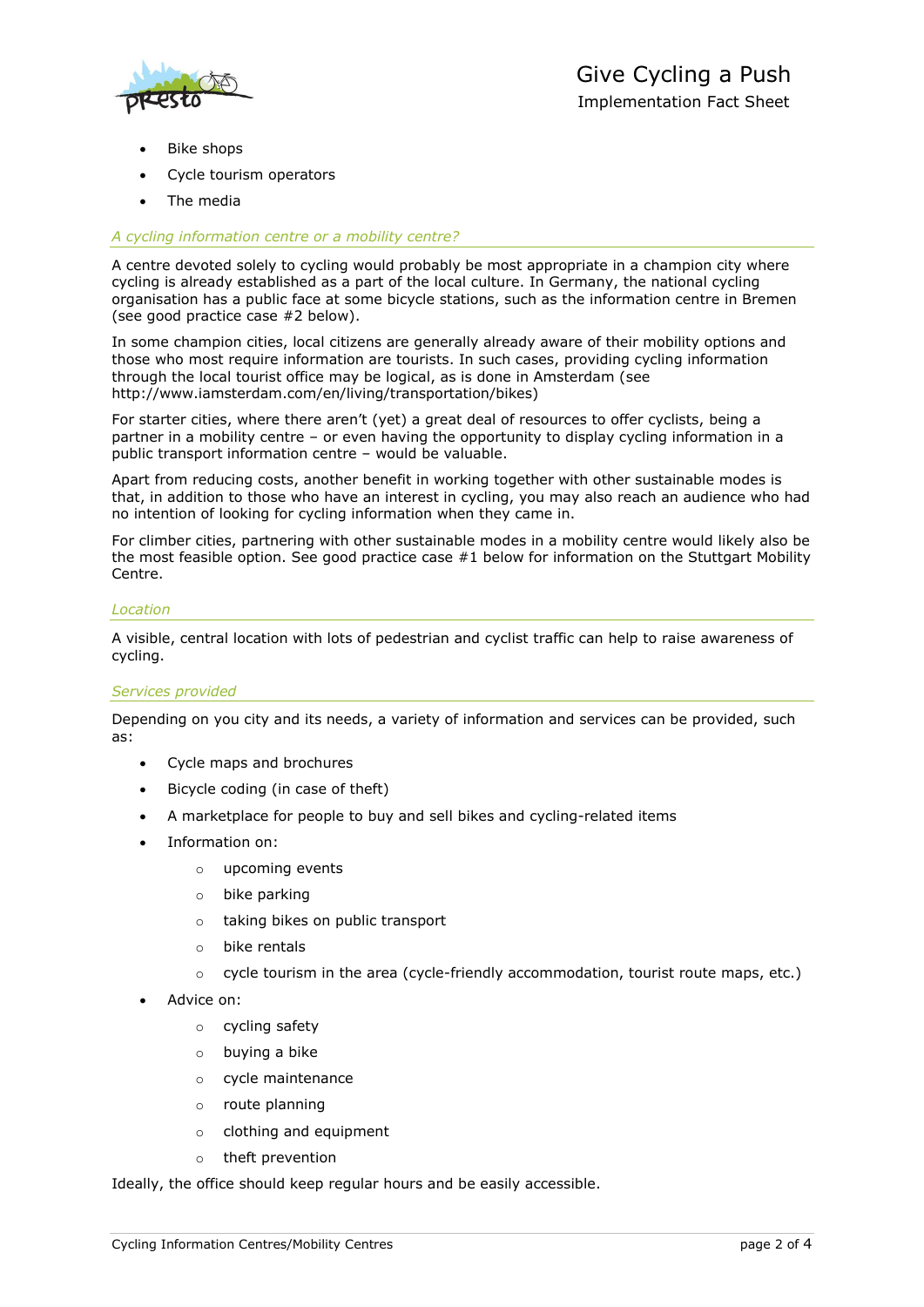

- Bike shops
- Cycle tourism operators
- The media

### *A cycling information centre or a mobility centre?*

A centre devoted solely to cycling would probably be most appropriate in a champion city where cycling is already established as a part of the local culture. In Germany, the national cycling organisation has a public face at some bicycle stations, such as the information centre in Bremen (see good practice case #2 below).

In some champion cities, local citizens are generally already aware of their mobility options and those who most require information are tourists. In such cases, providing cycling information through the local tourist office may be logical, as is done in Amsterdam (see http://www.iamsterdam.com/en/living/transportation/bikes)

For starter cities, where there aren't (yet) a great deal of resources to offer cyclists, being a partner in a mobility centre – or even having the opportunity to display cycling information in a public transport information centre – would be valuable.

Apart from reducing costs, another benefit in working together with other sustainable modes is that, in addition to those who have an interest in cycling, you may also reach an audience who had no intention of looking for cycling information when they came in.

For climber cities, partnering with other sustainable modes in a mobility centre would likely also be the most feasible option. See good practice case #1 below for information on the Stuttgart Mobility Centre.

### *Location*

A visible, central location with lots of pedestrian and cyclist traffic can help to raise awareness of cycling.

#### *Services provided*

Depending on you city and its needs, a variety of information and services can be provided, such as:

- Cycle maps and brochures
- Bicycle coding (in case of theft)
- A marketplace for people to buy and sell bikes and cycling-related items
- Information on:
	- o upcoming events
	- o bike parking
	- o taking bikes on public transport
	- o bike rentals
	- $\circ$  cycle tourism in the area (cycle-friendly accommodation, tourist route maps, etc.)
- Advice on:
	- o cycling safety
	- o buying a bike
	- o cycle maintenance
	- o route planning
	- o clothing and equipment
	- o theft prevention

Ideally, the office should keep regular hours and be easily accessible.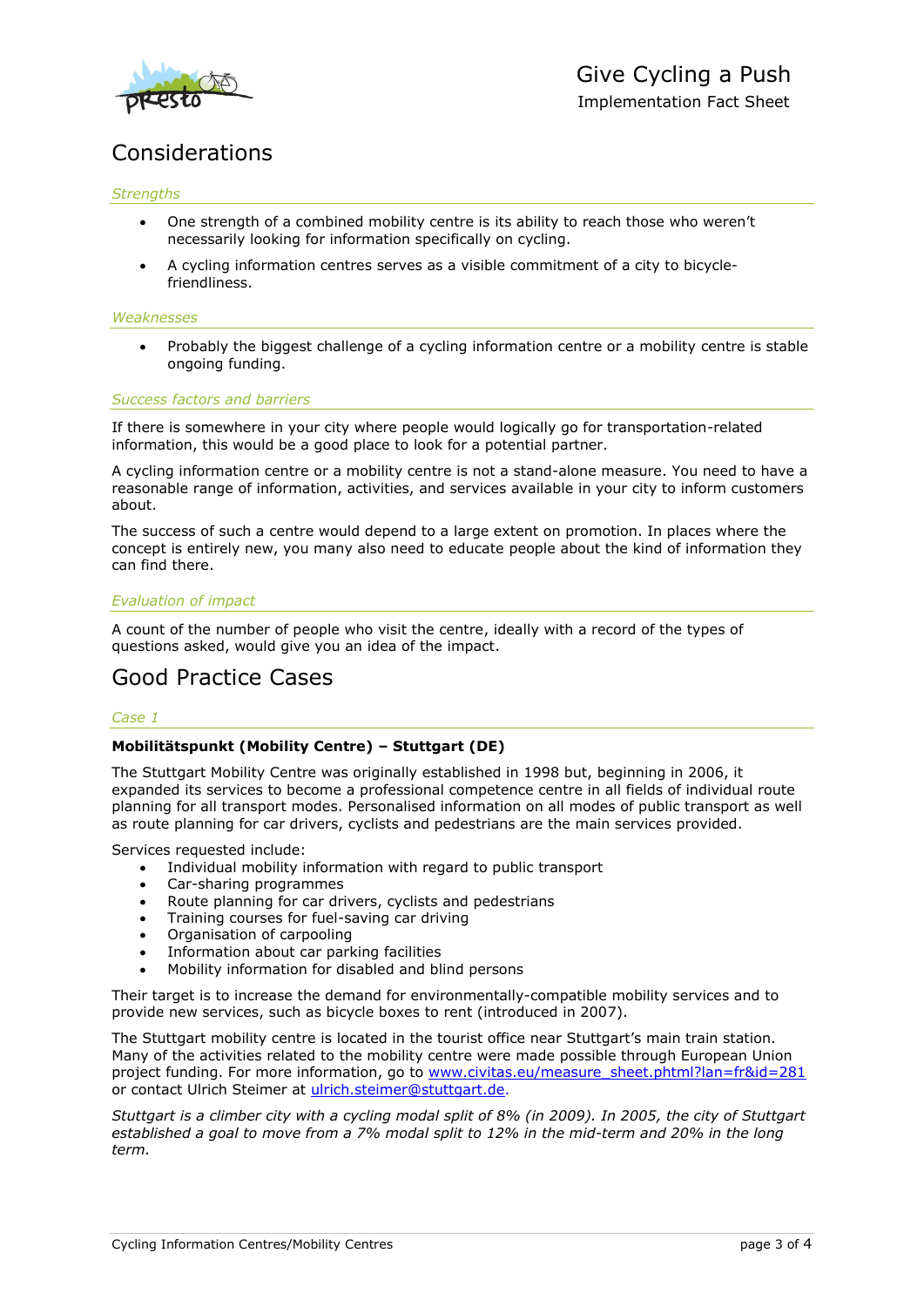

## Considerations

### *Strengths*

- One strength of a combined mobility centre is its ability to reach those who weren't necessarily looking for information specifically on cycling.
- A cycling information centres serves as a visible commitment of a city to bicyclefriendliness.

#### *Weaknesses*

 Probably the biggest challenge of a cycling information centre or a mobility centre is stable ongoing funding.

### *Success factors and barriers*

If there is somewhere in your city where people would logically go for transportation-related information, this would be a good place to look for a potential partner.

A cycling information centre or a mobility centre is not a stand-alone measure. You need to have a reasonable range of information, activities, and services available in your city to inform customers about.

The success of such a centre would depend to a large extent on promotion. In places where the concept is entirely new, you many also need to educate people about the kind of information they can find there.

### *Evaluation of impact*

A count of the number of people who visit the centre, ideally with a record of the types of questions asked, would give you an idea of the impact.

## Good Practice Cases

### *Case 1*

### **Mobilitätspunkt (Mobility Centre) – Stuttgart (DE)**

The Stuttgart Mobility Centre was originally established in 1998 but, beginning in 2006, it expanded its services to become a professional competence centre in all fields of individual route planning for all transport modes. Personalised information on all modes of public transport as well as route planning for car drivers, cyclists and pedestrians are the main services provided.

Services requested include:

- Individual mobility information with regard to public transport
- Car-sharing programmes
- Route planning for car drivers, cyclists and pedestrians
- Training courses for fuel-saving car driving
- Organisation of carpooling
- Information about car parking facilities
- Mobility information for disabled and blind persons

Their target is to increase the demand for environmentally-compatible mobility services and to provide new services, such as bicycle boxes to rent (introduced in 2007).

The Stuttgart mobility centre is located in the tourist office near Stuttgart's main train station. Many of the activities related to the mobility centre were made possible through European Union project funding. For more information, go to [www.civitas.eu/measure\\_sheet.phtml?lan=fr&id=281](http://www.civitas.eu/measure_sheet.phtml?lan=fr&id=281) or contact Ulrich Steimer at [ulrich.steimer@stuttgart.de.](mailto:ulrich.steimer@stuttgart.de)

*Stuttgart is a climber city with a cycling modal split of 8% (in 2009). In 2005, the city of Stuttgart established a goal to move from a 7% modal split to 12% in the mid-term and 20% in the long term.*